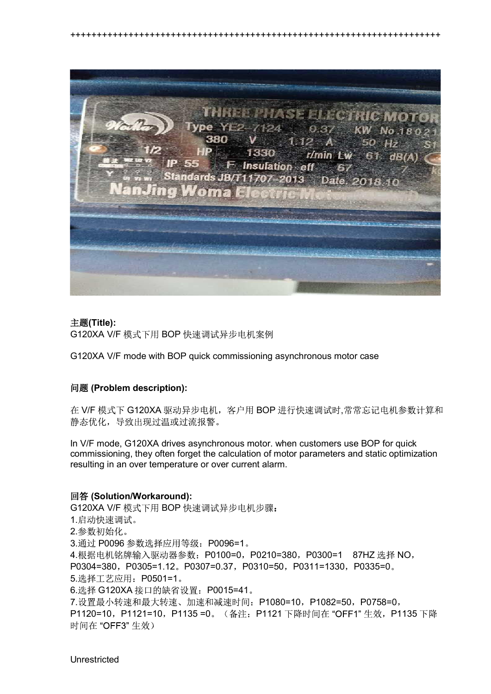

++++++++++++++++++++++++++++++++++++++++++++++++++++++++++++++++++++++

## **(Title):**

G120XA V/F 模式下用 BOP 快速调试异步电机案例

G120XA V/F mode with BOP quick commissioning asynchronous motor case

## **(Problem description):**

在 V/F 模式下 G120XA 驱动异步电机, 客户用 BOP 进行快速调试时,常常忘记电机参数计算和 静态优化, 导致出现过温或过流报警。

In V/F mode, G120XA drives asynchronous motor. when customers use BOP for quick commissioning, they often forget the calculation of motor parameters and static optimization resulting in an over temperature or over current alarm.

## **(Solution/Workaround):**

G120XA V/F 模式下用 BOP 快速调试异步电机步骤: 1.启动快速调试。 2.参数初始化。 3. 通过 P0096 参数选择应用等级: P0096=1。 4. 根据电机铭牌输入驱动器参数: P0100=0, P0210=380, P0300=1 87HZ 选择 NO,  $P0304=380, P0305=1.12, P0307=0.37, P0310=50, P0311=1330, P0335=0.$ 5. 选择工艺应用: P0501=1。 6. 选择 G120XA 接口的缺省设置: P0015=41。 7. 设置最小转速和最大转速、加速和减速时间: P1080=10, P1082=50, P0758=0, P1120=10, P1121=10, P1135 =0。(备注: P1121 下降时间在 "OFF1" 生效, P1135 下降 时间在"OFF3"生效)